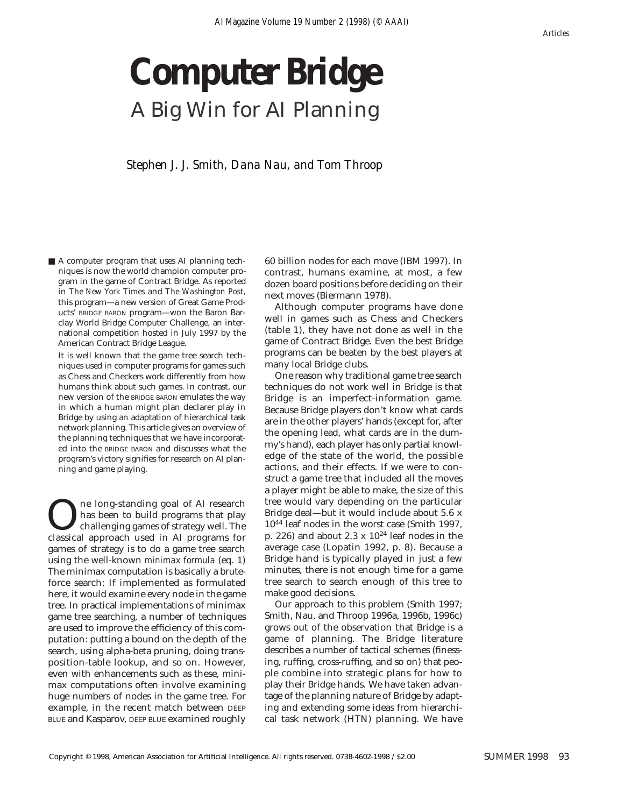# **Computer Bridge** A Big Win for AI Planning

## *Stephen J. J. Smith, Dana Nau, and Tom Throop*

■ A computer program that uses AI planning techniques is now the world champion computer program in the game of Contract Bridge. As reported in *The New York Times* and *The Washington Post*, this program—a new version of Great Game Products' BRIDGE BARON program—won the Baron Barclay World Bridge Computer Challenge, an international competition hosted in July 1997 by the American Contract Bridge League.

It is well known that the game tree search techniques used in computer programs for games such as Chess and Checkers work differently from how humans think about such games. In contrast, our new version of the BRIDGE BARON emulates the way in which a human might plan declarer play in Bridge by using an adaptation of hierarchical task network planning. This article gives an overview of the planning techniques that we have incorporated into the BRIDGE BARON and discusses what the program's victory signifies for research on AI planning and game playing.

The long-standing goal of AI research<br>has been to build programs that play<br>challenging games of strategy well. The<br>classical annroach used in AI programs for has been to build programs that play challenging games of strategy well. The classical approach used in AI programs for games of strategy is to do a game tree search using the well-known *minimax formula* (eq. 1) The minimax computation is basically a bruteforce search: If implemented as formulated here, it would examine every node in the game tree. In practical implementations of minimax game tree searching, a number of techniques are used to improve the efficiency of this computation: putting a bound on the depth of the search, using alpha-beta pruning, doing transposition-table lookup, and so on. However, even with enhancements such as these, minimax computations often involve examining huge numbers of nodes in the game tree. For example, in the recent match between DEEP BLUE and Kasparov, DEEP BLUE examined roughly 60 billion nodes for each move (IBM 1997). In contrast, humans examine, at most, a few dozen board positions before deciding on their next moves (Biermann 1978).

Although computer programs have done well in games such as Chess and Checkers (table 1), they have not done as well in the game of Contract Bridge. Even the best Bridge programs can be beaten by the best players at many local Bridge clubs.

One reason why traditional game tree search techniques do not work well in Bridge is that Bridge is an imperfect-information game. Because Bridge players don't know what cards are in the other players' hands (except for, after the opening lead, what cards are in the dummy's hand), each player has only partial knowledge of the state of the world, the possible actions, and their effects. If we were to construct a game tree that included all the moves a player might be able to make, the size of this tree would vary depending on the particular Bridge deal—but it would include about 5.6 x 1044 leaf nodes in the worst case (Smith 1997, p. 226) and about 2.3 x  $10^{24}$  leaf nodes in the average case (Lopatin 1992, p. 8). Because a Bridge hand is typically played in just a few minutes, there is not enough time for a game tree search to search enough of this tree to make good decisions.

Our approach to this problem (Smith 1997; Smith, Nau, and Throop 1996a, 1996b, 1996c) grows out of the observation that Bridge is a game of planning. The Bridge literature describes a number of tactical schemes (finessing, ruffing, cross-ruffing, and so on) that people combine into strategic plans for how to play their Bridge hands. We have taken advantage of the planning nature of Bridge by adapting and extending some ideas from hierarchical task network (HTN) planning. We have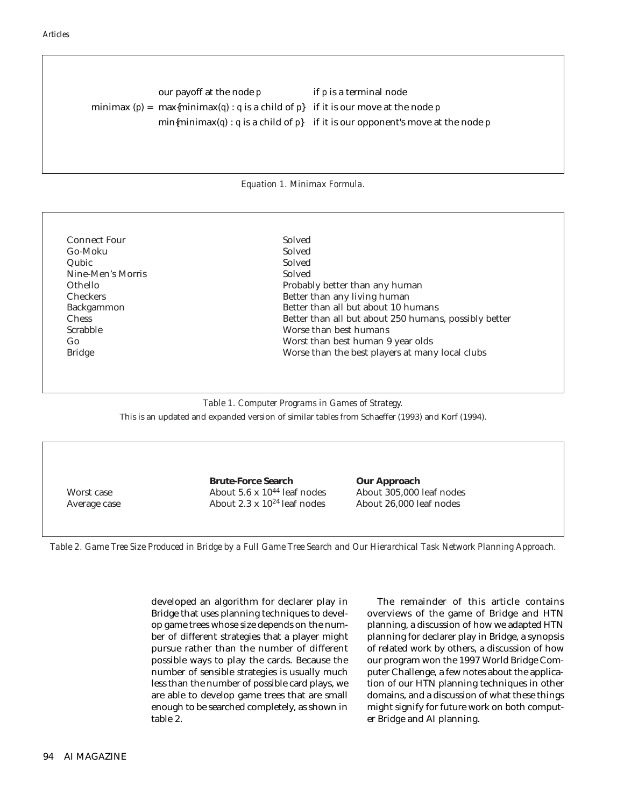minimax  $(p) =\begin{cases} \nmax\{\text{minimax}(q): q \text{ is a child of } p\} & \text{if it is our move at the node } p\end{cases}$ our payoff at the node *p* if *p* is a terminal node  $\begin{bmatrix} \min{\{minimax(q): q \text{ is a child of } p\} \end{bmatrix}$  if it is our opponent's move at the node *p* 

#### *Equation 1. Minimax Formula.*

| Connect Four      | Solved                                                |
|-------------------|-------------------------------------------------------|
| Go-Moku           | Solved                                                |
| Qubic             | Solved                                                |
| Nine-Men's Morris | Solved                                                |
| Othello           | Probably better than any human                        |
| <b>Checkers</b>   | Better than any living human                          |
| <b>Backgammon</b> | Better than all but about 10 humans                   |
| <b>Chess</b>      | Better than all but about 250 humans, possibly better |
| <b>Scrabble</b>   | Worse than best humans                                |
| Go                | Worst than best human 9 year olds                     |
| <b>Bridge</b>     | Worse than the best players at many local clubs       |

#### *Table 1. Computer Programs in Games of Strategy.*

This is an updated and expanded version of similar tables from Schaeffer (1993) and Korf (1994).

**Brute-Force Search Canadia Cour Approach<br>
About 5.6 x 10<sup>44</sup> leaf nodes About 305.000 leaf nodes** Worst case  $\begin{array}{r} \text{A bout } 5.6 \times 10^{44} \text{ leaf nodes} \\ \text{A bout } 2.3 \times 10^{24} \text{ leaf nodes} \end{array}$  About 26.000 leaf nodes Average case  $\mu$  About 2.3 x  $10^{24}$  leaf nodes

*Table 2. Game Tree Size Produced in Bridge by a Full Game Tree Search and Our Hierarchical Task Network Planning Approach.*

developed an algorithm for declarer play in Bridge that uses planning techniques to develop game trees whose size depends on the number of different strategies that a player might pursue rather than the number of different possible ways to play the cards. Because the number of sensible strategies is usually much less than the number of possible card plays, we are able to develop game trees that are small enough to be searched completely, as shown in table 2.

The remainder of this article contains overviews of the game of Bridge and HTN planning, a discussion of how we adapted HTN planning for declarer play in Bridge, a synopsis of related work by others, a discussion of how our program won the 1997 World Bridge Computer Challenge, a few notes about the application of our HTN planning techniques in other domains, and a discussion of what these things might signify for future work on both computer Bridge and AI planning.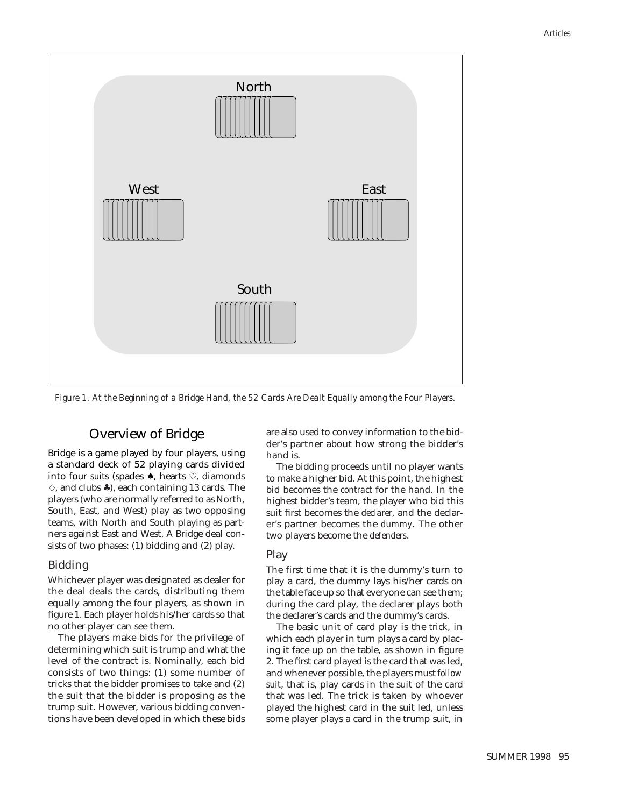

*Figure 1. At the Beginning of a Bridge Hand, the 52 Cards Are Dealt Equally among the Four Players.*

## Overview of Bridge

Bridge is a game played by four players, using a standard deck of 52 playing cards divided into four *suits* (spades ♦, hearts  $\hearts$ , diamonds  $\diamond$ , and clubs  $\clubsuit$ ), each containing 13 cards. The players (who are normally referred to as North, South, East, and West) play as two opposing teams, with North and South playing as partners against East and West. A Bridge deal consists of two phases: (1) bidding and (2) play.

#### Bidding

Whichever player was designated as dealer for the deal deals the cards, distributing them equally among the four players, as shown in figure 1. Each player holds his/her cards so that no other player can see them.

The players make bids for the privilege of determining which suit is trump and what the level of the contract is. Nominally, each bid consists of two things: (1) some number of tricks that the bidder promises to take and (2) the suit that the bidder is proposing as the trump suit. However, various bidding conventions have been developed in which these bids

are also used to convey information to the bidder's partner about how strong the bidder's hand is.

The bidding proceeds until no player wants to make a higher bid. At this point, the highest bid becomes the *contract* for the hand. In the highest bidder's team, the player who bid this suit first becomes the *declarer*, and the declarer's partner becomes the *dummy*. The other two players become the *defenders*.

#### Play

The first time that it is the dummy's turn to play a card, the dummy lays his/her cards on the table face up so that everyone can see them; during the card play, the declarer plays both the declarer's cards and the dummy's cards.

The basic unit of card play is the *trick*, in which each player in turn plays a card by placing it face up on the table, as shown in figure 2. The first card played is the card that was led, and whenever possible, the players must *follow suit*, that is, play cards in the suit of the card that was led. The trick is taken by whoever played the highest card in the suit led, unless some player plays a card in the trump suit, in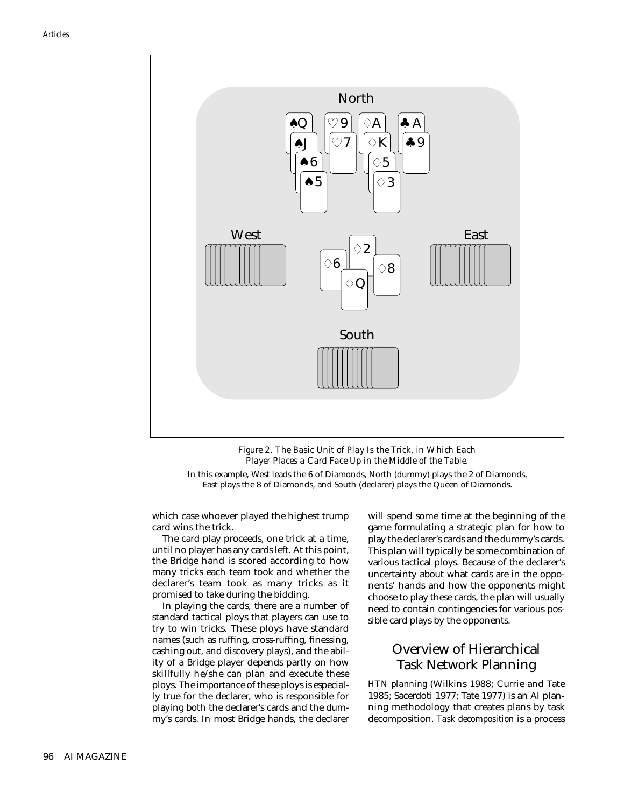

*Figure 2. The Basic Unit of Play Is the Trick, in Which Each Player Places a Card Face Up in the Middle of the Table.*

In this example, West leads the 6 of Diamonds, North (dummy) plays the 2 of Diamonds, East plays the 8 of Diamonds, and South (declarer) plays the Queen of Diamonds.

which case whoever played the highest trump card wins the trick.

The card play proceeds, one trick at a time, until no player has any cards left. At this point, the Bridge hand is scored according to how many tricks each team took and whether the declarer's team took as many tricks as it promised to take during the bidding.

In playing the cards, there are a number of standard tactical ploys that players can use to try to win tricks. These ploys have standard names (such as ruffing, cross-ruffing, finessing, cashing out, and discovery plays), and the ability of a Bridge player depends partly on how skillfully he/she can plan and execute these ploys. The importance of these ploys is especially true for the declarer, who is responsible for playing both the declarer's cards and the dummy's cards. In most Bridge hands, the declarer

will spend some time at the beginning of the game formulating a strategic plan for how to play the declarer's cards and the dummy's cards. This plan will typically be some combination of various tactical ploys. Because of the declarer's uncertainty about what cards are in the opponents' hands and how the opponents might choose to play these cards, the plan will usually need to contain contingencies for various possible card plays by the opponents.

## Overview of Hierarchical Task Network Planning

*HTN planning* (Wilkins 1988; Currie and Tate 1985; Sacerdoti 1977; Tate 1977) is an AI planning methodology that creates plans by task decomposition. *Task decomposition* is a process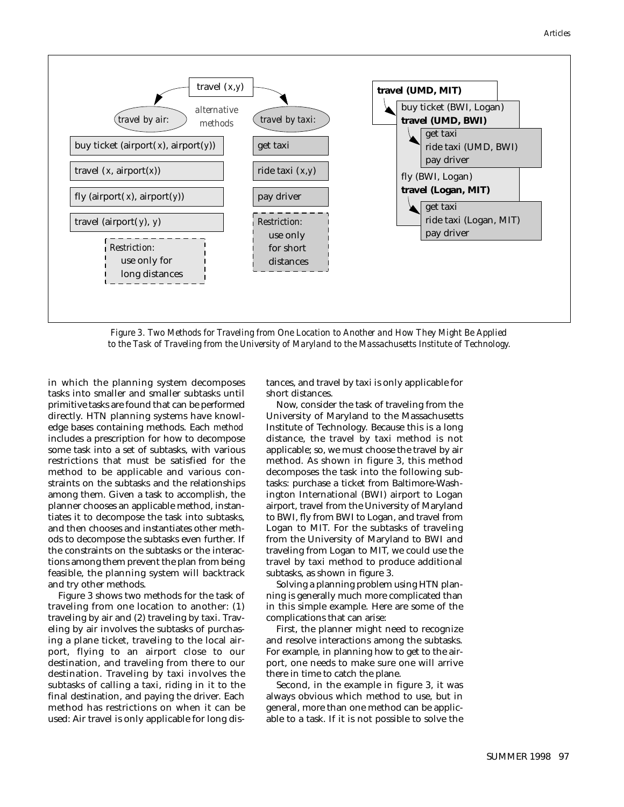

*to the Task of Traveling from the University of Maryland to the Massachusetts Institute of Technology.*

in which the planning system decomposes tasks into smaller and smaller subtasks until primitive tasks are found that can be performed directly. HTN planning systems have knowledge bases containing methods. Each *method* includes a prescription for how to decompose some task into a set of subtasks, with various restrictions that must be satisfied for the method to be applicable and various constraints on the subtasks and the relationships among them. Given a task to accomplish, the planner chooses an applicable method, instantiates it to decompose the task into subtasks, and then chooses and instantiates other methods to decompose the subtasks even further. If the constraints on the subtasks or the interactions among them prevent the plan from being feasible, the planning system will backtrack and try other methods.

Figure 3 shows two methods for the task of traveling from one location to another: (1) traveling by air and (2) traveling by taxi. Traveling by air involves the subtasks of purchasing a plane ticket, traveling to the local airport, flying to an airport close to our destination, and traveling from there to our destination. Traveling by taxi involves the subtasks of calling a taxi, riding in it to the final destination, and paying the driver. Each method has restrictions on when it can be used: Air travel is only applicable for long dis-

tances, and travel by taxi is only applicable for short distances.

Now, consider the task of traveling from the University of Maryland to the Massachusetts Institute of Technology. Because this is a long distance, the travel by taxi method is not applicable; so, we must choose the travel by air method. As shown in figure 3, this method decomposes the task into the following subtasks: purchase a ticket from Baltimore-Washington International (BWI) airport to Logan airport, travel from the University of Maryland to BWI, fly from BWI to Logan, and travel from Logan to MIT. For the subtasks of traveling from the University of Maryland to BWI and traveling from Logan to MIT, we could use the travel by taxi method to produce additional subtasks, as shown in figure 3.

Solving a planning problem using HTN planning is generally much more complicated than in this simple example. Here are some of the complications that can arise:

First, the planner might need to recognize and resolve interactions among the subtasks. For example, in planning how to get to the airport, one needs to make sure one will arrive there in time to catch the plane.

Second, in the example in figure 3, it was always obvious which method to use, but in general, more than one method can be applicable to a task. If it is not possible to solve the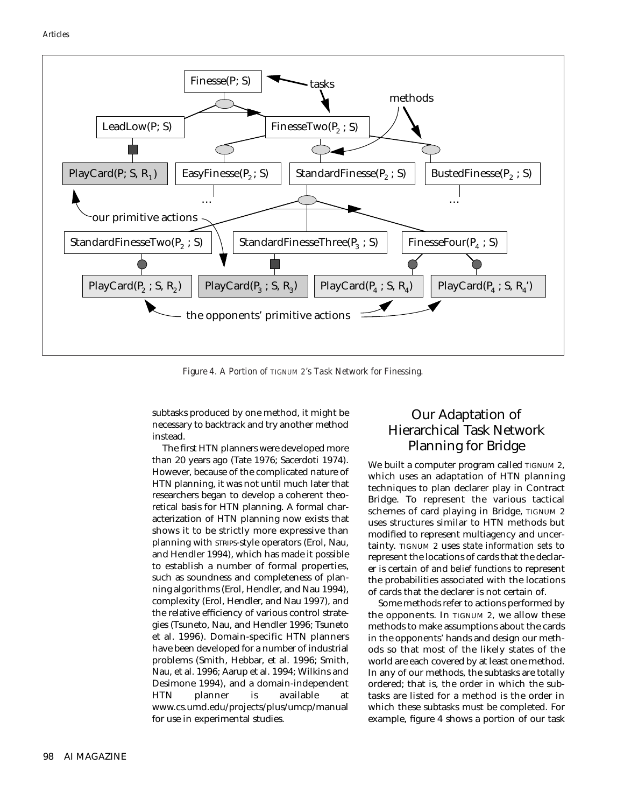

*Figure 4. A Portion of TIGNUM 2's Task Network for Finessing.*

subtasks produced by one method, it might be necessary to backtrack and try another method instead.

The first HTN planners were developed more than 20 years ago (Tate 1976; Sacerdoti 1974). However, because of the complicated nature of HTN planning, it was not until much later that researchers began to develop a coherent theoretical basis for HTN planning. A formal characterization of HTN planning now exists that shows it to be strictly more expressive than planning with STRIPS-style operators (Erol, Nau, and Hendler 1994), which has made it possible to establish a number of formal properties, such as soundness and completeness of planning algorithms (Erol, Hendler, and Nau 1994), complexity (Erol, Hendler, and Nau 1997), and the relative efficiency of various control strategies (Tsuneto, Nau, and Hendler 1996; Tsuneto et al. 1996). Domain-specific HTN planners have been developed for a number of industrial problems (Smith, Hebbar, et al. 1996; Smith, Nau, et al. 1996; Aarup et al. 1994; Wilkins and Desimone 1994), and a domain-independent HTN planner is available at www.cs.umd.edu/projects/plus/umcp/manual for use in experimental studies.

## Our Adaptation of Hierarchical Task Network Planning for Bridge

We built a computer program called TIGNUM 2, which uses an adaptation of HTN planning techniques to plan declarer play in Contract Bridge. To represent the various tactical schemes of card playing in Bridge, TIGNUM 2 uses structures similar to HTN methods but modified to represent multiagency and uncertainty. TIGNUM 2 uses *state information sets* to represent the locations of cards that the declarer is certain of and *belief functions* to represent the probabilities associated with the locations of cards that the declarer is not certain of.

Some methods refer to actions performed by the opponents. In TIGNUM 2, we allow these methods to make assumptions about the cards in the opponents' hands and design our methods so that most of the likely states of the world are each covered by at least one method. In any of our methods, the subtasks are totally ordered; that is, the order in which the subtasks are listed for a method is the order in which these subtasks must be completed. For example, figure 4 shows a portion of our task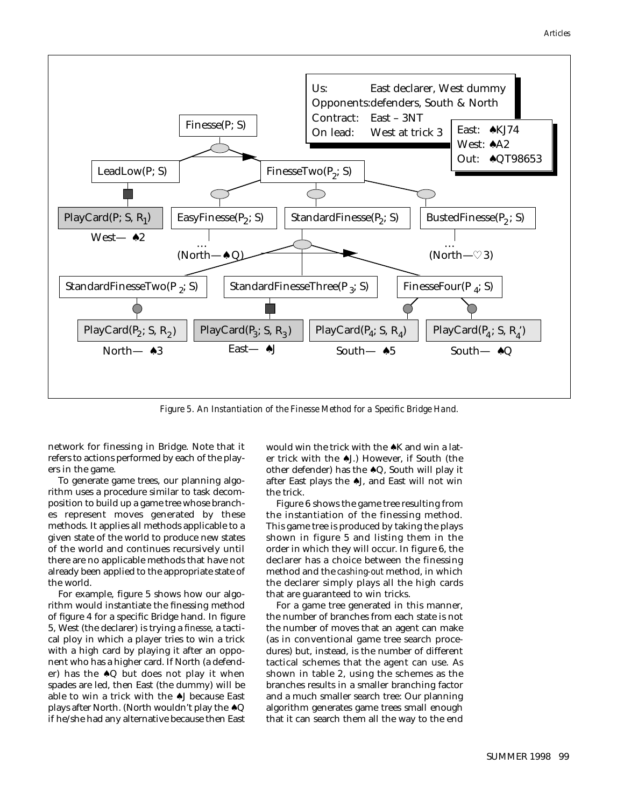

*Figure 5. An Instantiation of the Finesse Method for a Specific Bridge Hand.*

network for finessing in Bridge. Note that it refers to actions performed by each of the players in the game.

To generate game trees, our planning algorithm uses a procedure similar to task decomposition to build up a game tree whose branches represent moves generated by these methods. It applies all methods applicable to a given state of the world to produce new states of the world and continues recursively until there are no applicable methods that have not already been applied to the appropriate state of the world.

For example, figure 5 shows how our algorithm would instantiate the finessing method of figure 4 for a specific Bridge hand. In figure 5, West (the declarer) is trying a *finesse*, a tactical ploy in which a player tries to win a trick with a high card by playing it after an opponent who has a higher card. If North (a defender) has the  $\triangle Q$  but does not play it when spades are led, then East (the dummy) will be able to win a trick with the ♠J because East plays after North. (North wouldn't play the ♠Q if he/she had any alternative because then East would win the trick with the ▲K and win a later trick with the ♠J.) However, if South (the other defender) has the  $\triangle Q$ , South will play it after East plays the ♠J, and East will not win the trick.

Figure 6 shows the game tree resulting from the instantiation of the finessing method. This game tree is produced by taking the plays shown in figure 5 and listing them in the order in which they will occur. In figure 6, the declarer has a choice between the finessing method and the *cashing-out* method, in which the declarer simply plays all the high cards that are guaranteed to win tricks.

For a game tree generated in this manner, the number of branches from each state is not the number of moves that an agent can make (as in conventional game tree search procedures) but, instead, is the number of different tactical schemes that the agent can use. As shown in table 2, using the schemes as the branches results in a smaller branching factor and a much smaller search tree: Our planning algorithm generates game trees small enough that it can search them all the way to the end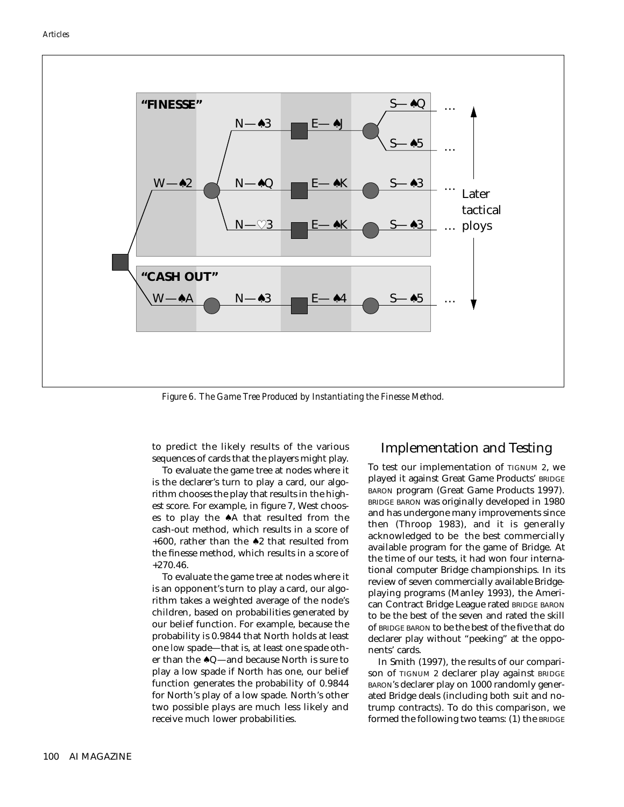#### *Articles*



*Figure 6. The Game Tree Produced by Instantiating the Finesse Method.*

to predict the likely results of the various sequences of cards that the players might play.

To evaluate the game tree at nodes where it is the declarer's turn to play a card, our algorithm chooses the play that results in the highest score. For example, in figure 7, West chooses to play the ♠A that resulted from the cash-out method, which results in a score of +600, rather than the ♠2 that resulted from the finesse method, which results in a score of +270.46.

To evaluate the game tree at nodes where it is an opponent's turn to play a card, our algorithm takes a weighted average of the node's children, based on probabilities generated by our belief function. For example, because the probability is 0.9844 that North holds at least one *low* spade—that is, at least one spade other than the ♠Q—and because North is sure to play a low spade if North has one, our belief function generates the probability of 0.9844 for North's play of a low spade. North's other two possible plays are much less likely and receive much lower probabilities.

## Implementation and Testing

To test our implementation of TIGNUM 2, we played it against Great Game Products' BRIDGE BARON program (Great Game Products 1997). BRIDGE BARON was originally developed in 1980 and has undergone many improvements since then (Throop 1983), and it is generally acknowledged to be the best commercially available program for the game of Bridge. At the time of our tests, it had won four international computer Bridge championships. In its review of seven commercially available Bridgeplaying programs (Manley 1993), the American Contract Bridge League rated BRIDGE BARON to be the best of the seven and rated the skill of BRIDGE BARON to be the best of the five that do declarer play without "peeking" at the opponents' cards.

In Smith (1997), the results of our comparison of TIGNUM 2 declarer play against BRIDGE BARON's declarer play on 1000 randomly generated Bridge deals (including both suit and notrump contracts). To do this comparison, we formed the following two teams: (1) the BRIDGE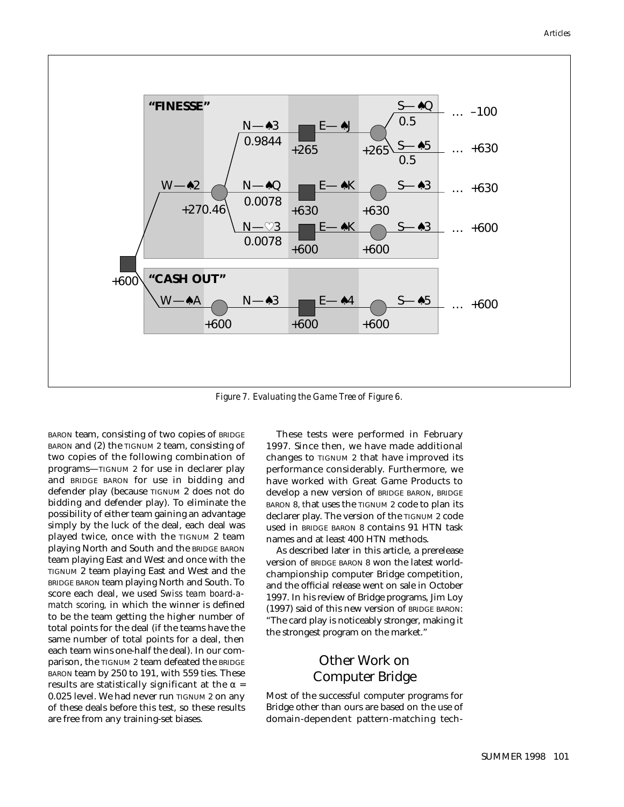

*Figure 7. Evaluating the Game Tree of Figure 6.*

BARON team, consisting of two copies of BRIDGE BARON and (2) the TIGNUM 2 team, consisting of two copies of the following combination of programs—TIGNUM 2 for use in declarer play and BRIDGE BARON for use in bidding and defender play (because TIGNUM 2 does not do bidding and defender play). To eliminate the possibility of either team gaining an advantage simply by the luck of the deal, each deal was played twice, once with the TIGNUM 2 team playing North and South and the BRIDGE BARON team playing East and West and once with the TIGNUM 2 team playing East and West and the BRIDGE BARON team playing North and South. To score each deal, we used *Swiss team board-amatch scoring,* in which the winner is defined to be the team getting the higher number of total points for the deal (if the teams have the same number of total points for a deal, then each team wins one-half the deal). In our comparison, the TIGNUM 2 team defeated the BRIDGE BARON team by 250 to 191, with 559 ties. These results are statistically significant at the  $\alpha$  = 0.025 level. We had never run TIGNUM 2 on any of these deals before this test, so these results are free from any training-set biases.

These tests were performed in February 1997. Since then, we have made additional changes to TIGNUM 2 that have improved its performance considerably. Furthermore, we have worked with Great Game Products to develop a new version of BRIDGE BARON, BRIDGE BARON 8, that uses the TIGNUM 2 code to plan its declarer play. The version of the TIGNUM 2 code used in BRIDGE BARON 8 contains 91 HTN task names and at least 400 HTN methods.

As described later in this article, a prerelease version of BRIDGE BARON 8 won the latest worldchampionship computer Bridge competition, and the official release went on sale in October 1997. In his review of Bridge programs, Jim Loy (1997) said of this new version of BRIDGE BARON: "The card play is noticeably stronger, making it the strongest program on the market."

## Other Work on Computer Bridge

Most of the successful computer programs for Bridge other than ours are based on the use of domain-dependent pattern-matching tech-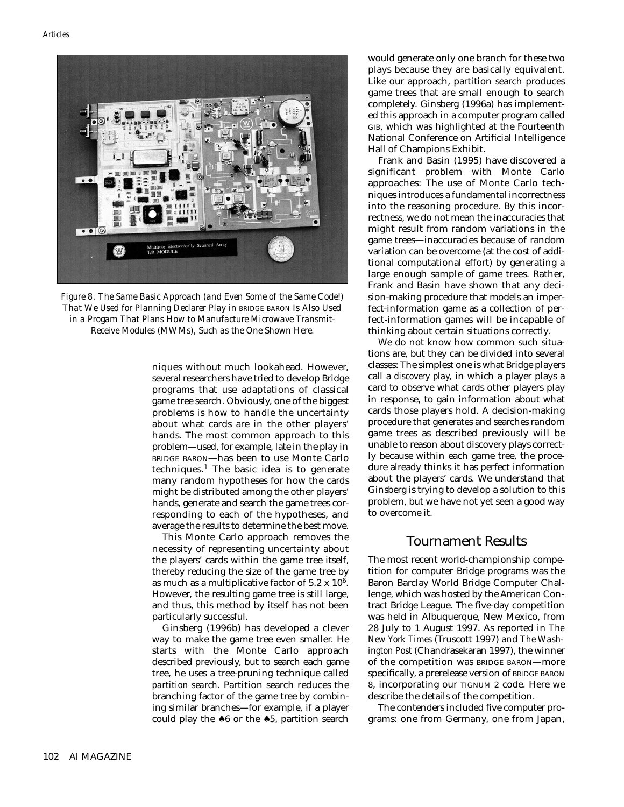

*Figure 8. The Same Basic Approach (and Even Some of the Same Code!) That We Used for Planning Declarer Play in BRIDGE BARON Is Also Used in a Progam That Plans How to Manufacture Microwave Transmit-Receive Modules (MWMs), Such as the One Shown Here.*

niques without much lookahead. However, several researchers have tried to develop Bridge programs that use adaptations of classical game tree search. Obviously, one of the biggest problems is how to handle the uncertainty about what cards are in the other players' hands. The most common approach to this problem—used, for example, late in the play in BRIDGE BARON—has been to use Monte Carlo techniques.<sup>1</sup> The basic idea is to generate many random hypotheses for how the cards might be distributed among the other players' hands, generate and search the game trees corresponding to each of the hypotheses, and average the results to determine the best move.

This Monte Carlo approach removes the necessity of representing uncertainty about the players' cards within the game tree itself, thereby reducing the size of the game tree by as much as a multiplicative factor of  $5.2 \times 10^6$ . However, the resulting game tree is still large, and thus, this method by itself has not been particularly successful.

Ginsberg (1996b) has developed a clever way to make the game tree even smaller. He starts with the Monte Carlo approach described previously, but to search each game tree, he uses a tree-pruning technique called *partition search*. Partition search reduces the branching factor of the game tree by combining similar branches—for example, if a player could play the ♠6 or the ♠5, partition search would generate only one branch for these two plays because they are basically equivalent. Like our approach, partition search produces game trees that are small enough to search completely. Ginsberg (1996a) has implemented this approach in a computer program called GIB, which was highlighted at the Fourteenth National Conference on Artificial Intelligence Hall of Champions Exhibit.

Frank and Basin (1995) have discovered a significant problem with Monte Carlo approaches: The use of Monte Carlo techniques introduces a fundamental incorrectness into the reasoning procedure. By this incorrectness, we do not mean the inaccuracies that might result from random variations in the game trees—inaccuracies because of random variation can be overcome (at the cost of additional computational effort) by generating a large enough sample of game trees. Rather, Frank and Basin have shown that any decision-making procedure that models an imperfect-information game as a collection of perfect-information games will be incapable of thinking about certain situations correctly.

We do not know how common such situations are, but they can be divided into several classes: The simplest one is what Bridge players call a *discovery play,* in which a player plays a card to observe what cards other players play in response, to gain information about what cards those players hold. A decision-making procedure that generates and searches random game trees as described previously will be unable to reason about discovery plays correctly because within each game tree, the procedure already thinks it has perfect information about the players' cards. We understand that Ginsberg is trying to develop a solution to this problem, but we have not yet seen a good way to overcome it.

## Tournament Results

The most recent world-championship competition for computer Bridge programs was the Baron Barclay World Bridge Computer Challenge, which was hosted by the American Contract Bridge League. The five-day competition was held in Albuquerque, New Mexico, from 28 July to 1 August 1997. As reported in *The New York Times* (Truscott 1997) and *The Washington Post* (Chandrasekaran 1997), the winner of the competition was BRIDGE BARON—more specifically, a prerelease version of BRIDGE BARON 8, incorporating our TIGNUM 2 code. Here we describe the details of the competition.

The contenders included five computer programs: one from Germany, one from Japan,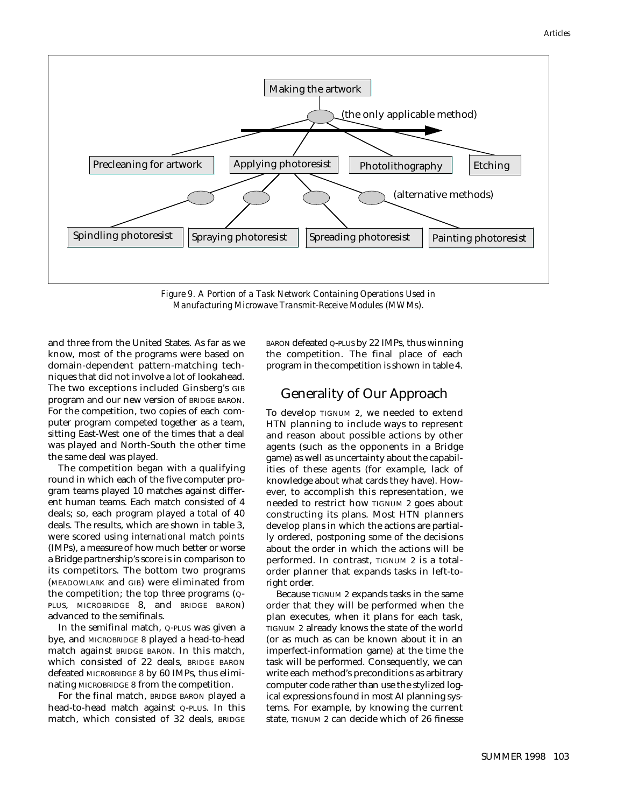

*Figure 9. A Portion of a Task Network Containing Operations Used in Manufacturing Microwave Transmit-Receive Modules (MWMs).*

and three from the United States. As far as we know, most of the programs were based on domain-dependent pattern-matching techniques that did not involve a lot of lookahead. The two exceptions included Ginsberg's GIB program and our new version of BRIDGE BARON. For the competition, two copies of each computer program competed together as a team, sitting East-West one of the times that a deal was played and North-South the other time the same deal was played.

The competition began with a qualifying round in which each of the five computer program teams played 10 matches against different human teams. Each match consisted of 4 deals; so, each program played a total of 40 deals. The results, which are shown in table 3, were scored using *international match points* (IMPs), a measure of how much better or worse a Bridge partnership's score is in comparison to its competitors. The bottom two programs (MEADOWLARK and GIB) were eliminated from the competition; the top three programs (Q-PLUS, MICROBRIDGE 8, and BRIDGE BARON) advanced to the semifinals.

In the semifinal match, Q-PLUS was given a bye, and MICROBRIDGE 8 played a head-to-head match against BRIDGE BARON. In this match, which consisted of 22 deals, BRIDGE BARON defeated MICROBRIDGE 8 by 60 IMPs, thus eliminating MICROBRIDGE 8 from the competition.

For the final match, BRIDGE BARON played a head-to-head match against Q-PLUS. In this match, which consisted of 32 deals, BRIDGE BARON defeated Q-PLUS by 22 IMPs, thus winning the competition. The final place of each program in the competition is shown in table 4.

## Generality of Our Approach

To develop TIGNUM 2, we needed to extend HTN planning to include ways to represent and reason about possible actions by other agents (such as the opponents in a Bridge game) as well as uncertainty about the capabilities of these agents (for example, lack of knowledge about what cards they have). However, to accomplish this representation, we needed to restrict how TIGNUM 2 goes about constructing its plans. Most HTN planners develop plans in which the actions are partially ordered, postponing some of the decisions about the order in which the actions will be performed. In contrast, TIGNUM 2 is a totalorder planner that expands tasks in left-toright order.

Because TIGNUM 2 expands tasks in the same order that they will be performed when the plan executes, when it plans for each task, TIGNUM 2 already knows the state of the world (or as much as can be known about it in an imperfect-information game) at the time the task will be performed. Consequently, we can write each method's preconditions as arbitrary computer code rather than use the stylized logical expressions found in most AI planning systems. For example, by knowing the current state, TIGNUM 2 can decide which of 26 finesse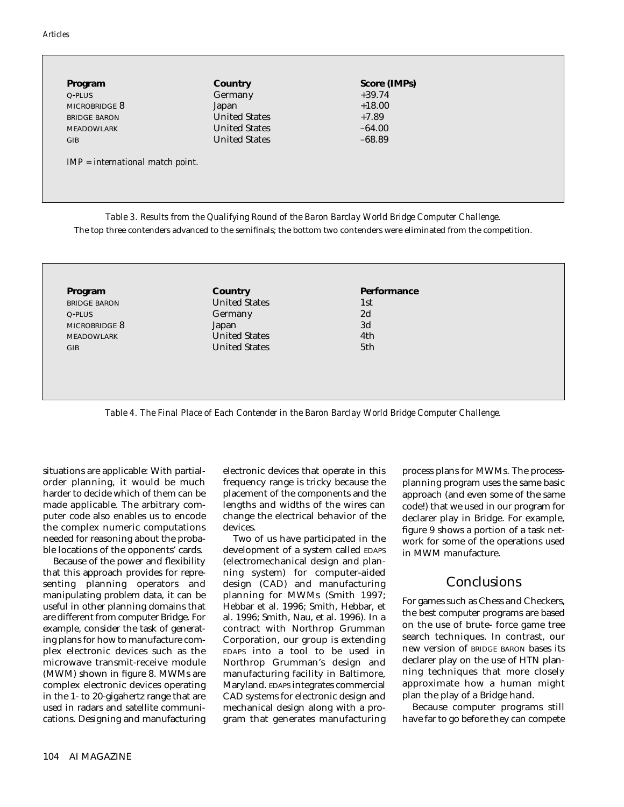| Program             | <b>Country</b>       | Score (IMPs) |  |
|---------------------|----------------------|--------------|--|
| Q-PLUS              | Germany              | $+39.74$     |  |
| MICROBRIDGE 8       | Japan                | $+18.00$     |  |
| <b>BRIDGE BARON</b> | <b>United States</b> | $+7.89$      |  |
| <b>MEADOWLARK</b>   | <b>United States</b> | $-64.00$     |  |
| GIB                 | <b>United States</b> | $-68.89$     |  |

*Table 3. Results from the Qualifying Round of the Baron Barclay World Bridge Computer Challenge.*

The top three contenders advanced to the semifinals; the bottom two contenders were eliminated from the competition.

| Program             | <b>Country</b>       | <b>Performance</b> |  |
|---------------------|----------------------|--------------------|--|
| <b>BRIDGE BARON</b> | <b>United States</b> | 1st                |  |
| $Q$ -PLUS           | Germany              | 2d                 |  |
| MICROBRIDGE 8       | Japan                | 3d                 |  |
| <b>MEADOWLARK</b>   | <b>United States</b> | 4th                |  |
| GIB                 | <b>United States</b> | 5th                |  |
|                     |                      |                    |  |

*Table 4. The Final Place of Each Contender in the Baron Barclay World Bridge Computer Challenge.*

situations are applicable: With partialorder planning, it would be much harder to decide which of them can be made applicable. The arbitrary computer code also enables us to encode the complex numeric computations needed for reasoning about the probable locations of the opponents' cards.

Because of the power and flexibility that this approach provides for representing planning operators and manipulating problem data, it can be useful in other planning domains that are different from computer Bridge. For example, consider the task of generating plans for how to manufacture complex electronic devices such as the microwave transmit-receive module (MWM) shown in figure 8. MWMs are complex electronic devices operating in the 1- to 20-gigahertz range that are used in radars and satellite communications. Designing and manufacturing electronic devices that operate in this frequency range is tricky because the placement of the components and the lengths and widths of the wires can change the electrical behavior of the devices.

Two of us have participated in the development of a system called EDAPS (electromechanical design and planning system) for computer-aided design (CAD) and manufacturing planning for MWMs (Smith 1997; Hebbar et al. 1996; Smith, Hebbar, et al. 1996; Smith, Nau, et al. 1996). In a contract with Northrop Grumman Corporation, our group is extending EDAPS into a tool to be used in Northrop Grumman's design and manufacturing facility in Baltimore, Maryland. EDAPS integrates commercial CAD systems for electronic design and mechanical design along with a program that generates manufacturing process plans for MWMs. The processplanning program uses the same basic approach (and even some of the same code!) that we used in our program for declarer play in Bridge. For example, figure 9 shows a portion of a task network for some of the operations used in MWM manufacture.

## **Conclusions**

For games such as Chess and Checkers, the best computer programs are based on the use of brute- force game tree search techniques. In contrast, our new version of BRIDGE BARON bases its declarer play on the use of HTN planning techniques that more closely approximate how a human might plan the play of a Bridge hand.

Because computer programs still have far to go before they can compete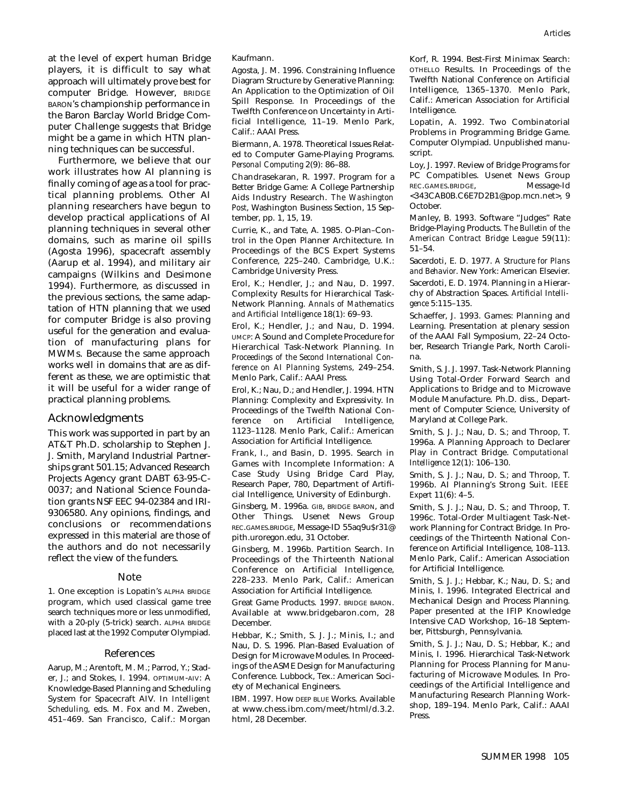at the level of expert human Bridge players, it is difficult to say what approach will ultimately prove best for computer Bridge. However, BRIDGE BARON's championship performance in the Baron Barclay World Bridge Computer Challenge suggests that Bridge might be a game in which HTN planning techniques can be successful.

Furthermore, we believe that our work illustrates how AI planning is finally coming of age as a tool for practical planning problems. Other AI planning researchers have begun to develop practical applications of AI planning techniques in several other domains, such as marine oil spills (Agosta 1996), spacecraft assembly (Aarup et al. 1994), and military air campaigns (Wilkins and Desimone 1994). Furthermore, as discussed in the previous sections, the same adaptation of HTN planning that we used for computer Bridge is also proving useful for the generation and evaluation of manufacturing plans for MWMs. Because the same approach works well in domains that are as different as these, we are optimistic that it will be useful for a wider range of practical planning problems.

### Acknowledgments

This work was supported in part by an AT&T Ph.D. scholarship to Stephen J. J. Smith, Maryland Industrial Partnerships grant 501.15; Advanced Research Projects Agency grant DABT 63-95-C-0037; and National Science Foundation grants NSF EEC 94-02384 and IRI-9306580. Any opinions, findings, and conclusions or recommendations expressed in this material are those of the authors and do not necessarily reflect the view of the funders.

#### Note

1. One exception is Lopatin's ALPHA BRIDGE program, which used classical game tree search techniques more or less unmodified, with a 20-ply (5-trick) search. ALPHA BRIDGE placed last at the 1992 Computer Olympiad.

#### References

Aarup, M.; Arentoft, M. M.; Parrod, Y.; Stader, J.; and Stokes, I. 1994. OPTIMUM-AIV: A Knowledge-Based Planning and Scheduling System for Spacecraft AIV. In *Intelligent Scheduling*, eds. M. Fox and M. Zweben, 451–469. San Francisco, Calif.: Morgan

#### Kaufmann.

Agosta, J. M. 1996. Constraining Influence Diagram Structure by Generative Planning: An Application to the Optimization of Oil Spill Response. In Proceedings of the Twelfth Conference on Uncertainty in Artificial Intelligence, 11–19. Menlo Park, Calif.: AAAI Press.

Biermann, A. 1978. Theoretical Issues Related to Computer Game-Playing Programs. *Personal Computing* 2(9): 86–88.

Chandrasekaran, R. 1997. Program for a Better Bridge Game: A College Partnership Aids Industry Research. *The Washington Post*, Washington Business Section, 15 September, pp. 1, 15, 19.

Currie, K., and Tate, A. 1985. O-Plan–Control in the Open Planner Architecture. In Proceedings of the BCS Expert Systems Conference, 225–240. Cambridge, U.K.: Cambridge University Press.

Erol, K.; Hendler, J.; and Nau, D. 1997. Complexity Results for Hierarchical Task-Network Planning. *Annals of Mathematics and Artificial Intelligence* 18(1): 69–93.

Erol, K.; Hendler, J.; and Nau, D. 1994. UMCP: A Sound and Complete Procedure for Hierarchical Task-Network Planning. In *Proceedings of the Second International Conference on AI Planning Systems,* 249–254. Menlo Park, Calif.: AAAI Press.

Erol, K.; Nau, D.; and Hendler, J. 1994. HTN Planning: Complexity and Expressivity. In Proceedings of the Twelfth National Conference on Artificial Intelligence, 1123–1128. Menlo Park, Calif.: American Association for Artificial Intelligence.

Frank, I., and Basin, D. 1995. Search in Games with Incomplete Information: A Case Study Using Bridge Card Play, Research Paper, 780, Department of Artificial Intelligence, University of Edinburgh.

Ginsberg, M. 1996a. GIB, BRIDGE BARON, and Other Things. Usenet News Group REC.GAMES.BRIDGE, Message-ID 55aq9u\$r31@ pith.uroregon.edu, 31 October.

Ginsberg, M. 1996b. Partition Search. In Proceedings of the Thirteenth National Conference on Artificial Intelligence, 228–233. Menlo Park, Calif.: American Association for Artificial Intelligence.

Great Game Products. 1997. BRIDGE BARON. Available at www.bridgebaron.com, 28 December.

Hebbar, K.; Smith, S. J. J.; Minis, I.; and Nau, D. S. 1996. Plan-Based Evaluation of Design for Microwave Modules. In Proceedings of the ASME Design for Manufacturing Conference. Lubbock, Tex.: American Society of Mechanical Engineers.

IBM. 1997. How DEEP BLUE Works. Available at www.chess.ibm.com/meet/html/d.3.2. html, 28 December.

Korf, R. 1994. Best-First Minimax Search: OTHELLO Results. In Proceedings of the Twelfth National Conference on Artificial Intelligence, 1365–1370. Menlo Park, Calif.: American Association for Artificial Intelligence.

Lopatin, A. 1992. Two Combinatorial Problems in Programming Bridge Game. Computer Olympiad. Unpublished manuscript.

Loy, J. 1997. Review of Bridge Programs for PC Compatibles. Usenet News Group REC.GAMES.BRIDGE, Message-Id <343CAB0B.C6E7D2B1@pop.mcn.net>, 9 October.

Manley, B. 1993. Software "Judges" Rate Bridge-Playing Products. *The Bulletin of the American Contract Bridge League* 59(11): 51–54.

Sacerdoti, E. D. 1977. *A Structure for Plans and Behavior*. New York: American Elsevier.

Sacerdoti, E. D. 1974. Planning in a Hierarchy of Abstraction Spaces. *Artificial Intelligence* 5:115–135.

Schaeffer, J. 1993. Games: Planning and Learning. Presentation at plenary session of the AAAI Fall Symposium, 22–24 October, Research Triangle Park, North Carolina.

Smith, S. J. J. 1997. Task-Network Planning Using Total-Order Forward Search and Applications to Bridge and to Microwave Module Manufacture. Ph.D. diss., Department of Computer Science, University of Maryland at College Park.

Smith, S. J. J.; Nau, D. S.; and Throop, T. 1996a. A Planning Approach to Declarer Play in Contract Bridge. *Computational Intelligence* 12(1): 106–130.

Smith, S. J. J.; Nau, D. S.; and Throop, T. 1996b. AI Planning's Strong Suit. *IEEE Expert* 11(6): 4–5.

Smith, S. J. J.; Nau, D. S.; and Throop, T. 1996c. Total-Order Multiagent Task-Network Planning for Contract Bridge. In Proceedings of the Thirteenth National Conference on Artificial Intelligence, 108–113. Menlo Park, Calif.: American Association for Artificial Intelligence.

Smith, S. J. J.; Hebbar, K.; Nau, D. S.; and Minis, I. 1996. Integrated Electrical and Mechanical Design and Process Planning. Paper presented at the IFIP Knowledge Intensive CAD Workshop, 16–18 September, Pittsburgh, Pennsylvania.

Smith, S. J. J.; Nau, D. S.; Hebbar, K.; and Minis, I. 1996. Hierarchical Task-Network Planning for Process Planning for Manufacturing of Microwave Modules. In Proceedings of the Artificial Intelligence and Manufacturing Research Planning Workshop, 189–194. Menlo Park, Calif.: AAAI Press.